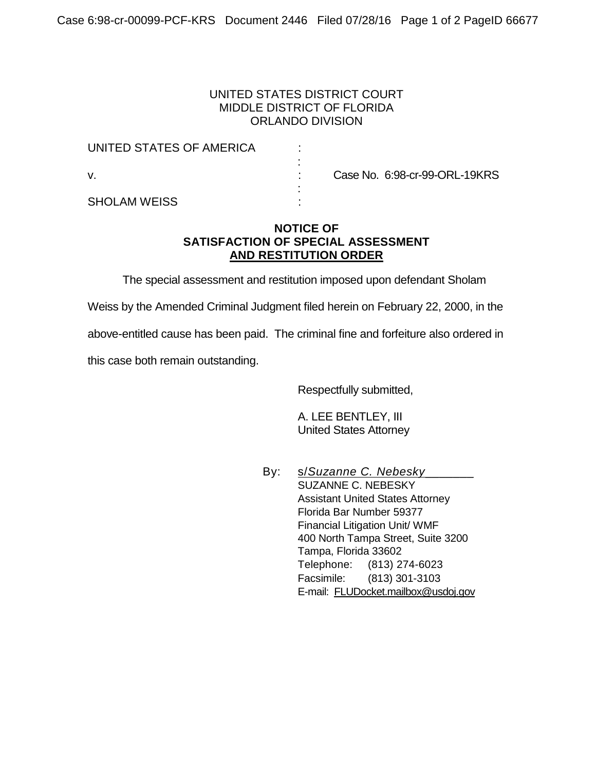## UNITED STATES DISTRICT COURT MIDDLE DISTRICT OF FLORIDA ORLANDO DIVISION

| UNITED STATES OF AMERICA |  |                               |
|--------------------------|--|-------------------------------|
| v.                       |  | Case No. 6:98-cr-99-ORL-19KRS |
| <b>SHOLAM WEISS</b>      |  |                               |

## **NOTICE OF SATISFACTION OF SPECIAL ASSESSMENT AND RESTITUTION ORDER**

The special assessment and restitution imposed upon defendant Sholam

Weiss by the Amended Criminal Judgment filed herein on February 22, 2000, in the

above-entitled cause has been paid. The criminal fine and forfeiture also ordered in

this case both remain outstanding.

Respectfully submitted,

A. LEE BENTLEY, III United States Attorney

By: s/*Suzanne C. Nebesky*\_\_\_\_\_\_\_ SUZANNE C. NEBESKY Assistant United States Attorney Florida Bar Number 59377 Financial Litigation Unit/ WMF 400 North Tampa Street, Suite 3200 Tampa, Florida 33602 Telephone: (813) 274-6023 Facsimile: (813) 301-3103 E-mail: [FLUDocket.mailbox@usdoj.gov](mailto:FLUDocket.mailbox@usdoj.gov)